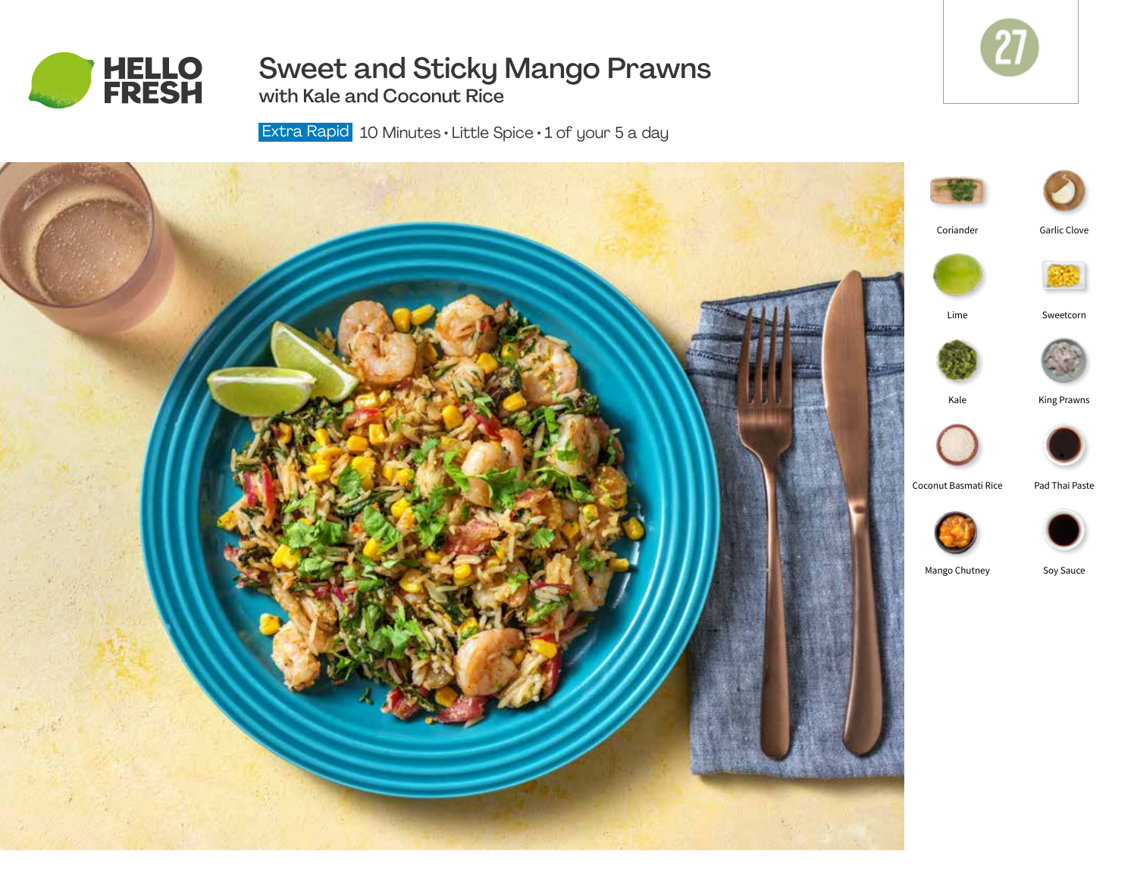

# Sweet and Sticky Mango Prawns

27

27

with Kale and Coconut Rice

Extra Rapid 10 Minutes  $\cdot$  Little Spice  $\cdot$  1 of your 5 a day